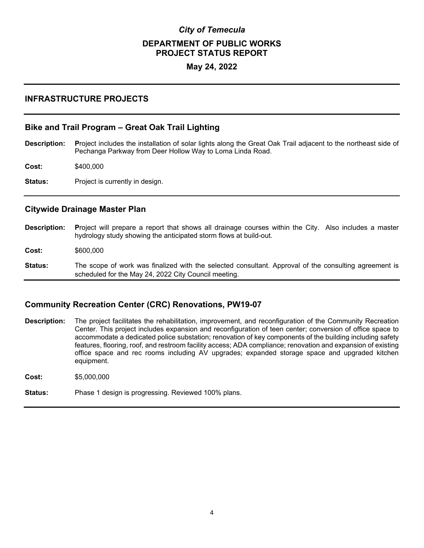# *City of Temecula*  **DEPARTMENT OF PUBLIC WORKS PROJECT STATUS REPORT**

### **May 24, 2022**

### **INFRASTRUCTURE PROJECTS**

#### **Bike and Trail Program – Great Oak Trail Lighting**

**Description: P**roject includes the installation of solar lights along the Great Oak Trail adjacent to the northeast side of Pechanga Parkway from Deer Hollow Way to Loma Linda Road.

**Cost:** \$400,000

**Status:** Project is currently in design.

#### **Citywide Drainage Master Plan**

- **Description: P**roject will prepare a report that shows all drainage courses within the City. Also includes a master hydrology study showing the anticipated storm flows at build-out. **Cost:** \$600,000
- **Status:** The scope of work was finalized with the selected consultant. Approval of the consulting agreement is scheduled for the May 24, 2022 City Council meeting.

### **Community Recreation Center (CRC) Renovations, PW19-07**

**Description:** The project facilitates the rehabilitation, improvement, and reconfiguration of the Community Recreation Center. This project includes expansion and reconfiguration of teen center; conversion of office space to accommodate a dedicated police substation; renovation of key components of the building including safety features, flooring, roof, and restroom facility access; ADA compliance; renovation and expansion of existing office space and rec rooms including AV upgrades; expanded storage space and upgraded kitchen equipment.

**Cost:** \$5,000,000

**Status:** Phase 1 design is progressing. Reviewed 100% plans.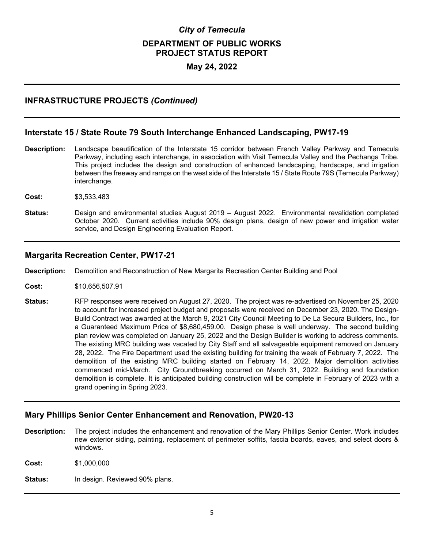# *City of Temecula*  **DEPARTMENT OF PUBLIC WORKS PROJECT STATUS REPORT**

### **May 24, 2022**

# **INFRASTRUCTURE PROJECTS** *(Continued)*

## **Interstate 15 / State Route 79 South Interchange Enhanced Landscaping, PW17-19**

- **Description:** Landscape beautification of the Interstate 15 corridor between French Valley Parkway and Temecula Parkway, including each interchange, in association with Visit Temecula Valley and the Pechanga Tribe. This project includes the design and construction of enhanced landscaping, hardscape, and irrigation between the freeway and ramps on the west side of the Interstate 15 / State Route 79S (Temecula Parkway) interchange.
- **Cost:** \$3,533,483
- **Status:** Design and environmental studies August 2019 August 2022. Environmental revalidation completed October 2020. Current activities include 90% design plans, design of new power and irrigation water service, and Design Engineering Evaluation Report.

#### **Margarita Recreation Center, PW17-21**

**Description:** Demolition and Reconstruction of New Margarita Recreation Center Building and Pool

- **Cost:** \$10,656,507.91
- **Status:** RFP responses were received on August 27, 2020. The project was re-advertised on November 25, 2020 to account for increased project budget and proposals were received on December 23, 2020. The Design-Build Contract was awarded at the March 9, 2021 City Council Meeting to De La Secura Builders, Inc., for a Guaranteed Maximum Price of \$8,680,459.00. Design phase is well underway. The second building plan review was completed on January 25, 2022 and the Design Builder is working to address comments. The existing MRC building was vacated by City Staff and all salvageable equipment removed on January 28, 2022. The Fire Department used the existing building for training the week of February 7, 2022. The demolition of the existing MRC building started on February 14, 2022. Major demolition activities commenced mid-March. City Groundbreaking occurred on March 31, 2022. Building and foundation demolition is complete. It is anticipated building construction will be complete in February of 2023 with a grand opening in Spring 2023.

### **Mary Phillips Senior Center Enhancement and Renovation, PW20-13**

**Description:** The project includes the enhancement and renovation of the Mary Phillips Senior Center. Work includes new exterior siding, painting, replacement of perimeter soffits, fascia boards, eaves, and select doors & windows.

**Cost:** \$1,000,000

Status: In design. Reviewed 90% plans.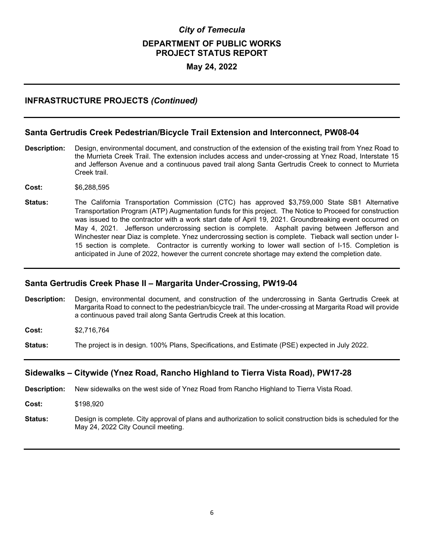# *City of Temecula*  **DEPARTMENT OF PUBLIC WORKS PROJECT STATUS REPORT**

### **May 24, 2022**

## **INFRASTRUCTURE PROJECTS** *(Continued)*

#### **Santa Gertrudis Creek Pedestrian/Bicycle Trail Extension and Interconnect, PW08-04**

- **Description:** Design, environmental document, and construction of the extension of the existing trail from Ynez Road to the Murrieta Creek Trail. The extension includes access and under-crossing at Ynez Road, Interstate 15 and Jefferson Avenue and a continuous paved trail along Santa Gertrudis Creek to connect to Murrieta Creek trail.
- **Cost:** \$6,288,595
- **Status:** The California Transportation Commission (CTC) has approved \$3,759,000 State SB1 Alternative Transportation Program (ATP) Augmentation funds for this project. The Notice to Proceed for construction was issued to the contractor with a work start date of April 19, 2021. Groundbreaking event occurred on May 4, 2021. Jefferson undercrossing section is complete. Asphalt paving between Jefferson and Winchester near Diaz is complete. Ynez undercrossing section is complete. Tieback wall section under I-15 section is complete. Contractor is currently working to lower wall section of I-15. Completion is anticipated in June of 2022, however the current concrete shortage may extend the completion date.

#### **Santa Gertrudis Creek Phase II – Margarita Under-Crossing, PW19-04**

- **Description:** Design, environmental document, and construction of the undercrossing in Santa Gertrudis Creek at Margarita Road to connect to the pedestrian/bicycle trail. The under-crossing at Margarita Road will provide a continuous paved trail along Santa Gertrudis Creek at this location.
- **Cost:** \$2,716,764
- **Status:** The project is in design. 100% Plans, Specifications, and Estimate (PSE) expected in July 2022.

### **Sidewalks – Citywide (Ynez Road, Rancho Highland to Tierra Vista Road), PW17-28**

- **Description:** New sidewalks on the west side of Ynez Road from Rancho Highland to Tierra Vista Road.
- **Cost:** \$198,920
- **Status:** Design is complete. City approval of plans and authorization to solicit construction bids is scheduled for the May 24, 2022 City Council meeting.